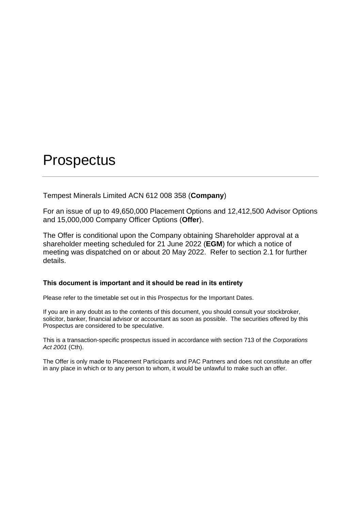# **Prospectus**

Tempest Minerals Limited ACN 612 008 358 (**Company**)

For an issue of up to 49,650,000 Placement Options and 12,412,500 Advisor Options and 15,000,000 Company Officer Options (**Offer**).

The Offer is conditional upon the Company obtaining Shareholder approval at a shareholder meeting scheduled for 21 June 2022 (**EGM**) for which a notice of meeting was dispatched on or about 20 May 2022. Refer to section [2.1](#page-7-0) for further details.

## **This document is important and it should be read in its entirety**

Please refer to the timetable set out in this Prospectus for the Important Dates.

If you are in any doubt as to the contents of this document, you should consult your stockbroker, solicitor, banker, financial advisor or accountant as soon as possible. The securities offered by this Prospectus are considered to be speculative.

This is a transaction-specific prospectus issued in accordance with section 713 of the *Corporations Act 2001* (Cth).

The Offer is only made to Placement Participants and PAC Partners and does not constitute an offer in any place in which or to any person to whom, it would be unlawful to make such an offer.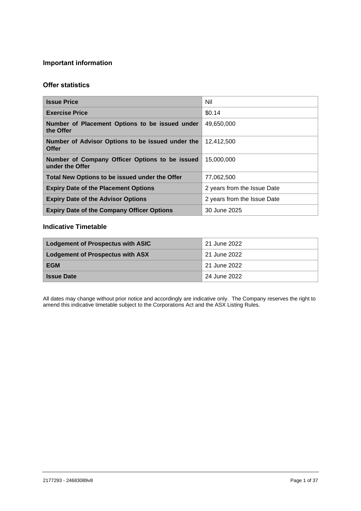# **Important information**

# **Offer statistics**

| <b>Issue Price</b>                                                | Nil                         |
|-------------------------------------------------------------------|-----------------------------|
| <b>Exercise Price</b>                                             | \$0.14                      |
| Number of Placement Options to be issued under<br>the Offer       | 49,650,000                  |
| Number of Advisor Options to be issued under the<br><b>Offer</b>  | 12.412.500                  |
| Number of Company Officer Options to be issued<br>under the Offer | 15.000.000                  |
| Total New Options to be issued under the Offer                    | 77,062,500                  |
| <b>Expiry Date of the Placement Options</b>                       | 2 years from the Issue Date |
| <b>Expiry Date of the Advisor Options</b>                         | 2 years from the Issue Date |
| <b>Expiry Date of the Company Officer Options</b>                 | 30 June 2025                |

## **Indicative Timetable**

| <b>Lodgement of Prospectus with ASIC</b> | 21 June 2022              |
|------------------------------------------|---------------------------|
| <b>Lodgement of Prospectus with ASX</b>  | <sup>1</sup> 21 June 2022 |
| EGM                                      | 21 June 2022              |
| <b>Issue Date</b>                        | 24 June 2022              |

All dates may change without prior notice and accordingly are indicative only. The Company reserves the right to amend this indicative timetable subject to the Corporations Act and the ASX Listing Rules.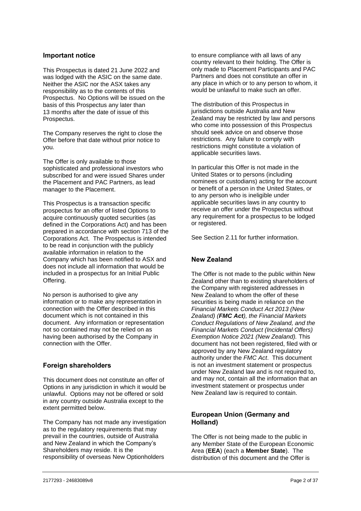## **Important notice**

This Prospectus is dated 21 June 2022 and was lodged with the ASIC on the same date. Neither the ASIC nor the ASX takes any responsibility as to the contents of this Prospectus. No Options will be issued on the basis of this Prospectus any later than 13 months after the date of issue of this Prospectus.

The Company reserves the right to close the Offer before that date without prior notice to you.

The Offer is only available to those sophisticated and professional investors who subscribed for and were issued Shares under the Placement and PAC Partners, as lead manager to the Placement.

This Prospectus is a transaction specific prospectus for an offer of listed Options to acquire continuously quoted securities (as defined in the Corporations Act) and has been prepared in accordance with section 713 of the Corporations Act. The Prospectus is intended to be read in conjunction with the publicly available information in relation to the Company which has been notified to ASX and does not include all information that would be included in a prospectus for an Initial Public Offering.

No person is authorised to give any information or to make any representation in connection with the Offer described in this document which is not contained in this document. Any information or representation not so contained may not be relied on as having been authorised by the Company in connection with the Offer.

## **Foreign shareholders**

This document does not constitute an offer of Options in any jurisdiction in which it would be unlawful. Options may not be offered or sold in any country outside Australia except to the extent permitted below.

The Company has not made any investigation as to the regulatory requirements that may prevail in the countries, outside of Australia and New Zealand in which the Company's Shareholders may reside. It is the responsibility of overseas New Optionholders

to ensure compliance with all laws of any country relevant to their holding. The Offer is only made to Placement Participants and PAC Partners and does not constitute an offer in any place in which or to any person to whom, it would be unlawful to make such an offer.

The distribution of this Prospectus in jurisdictions outside Australia and New Zealand may be restricted by law and persons who come into possession of this Prospectus should seek advice on and observe those restrictions. Any failure to comply with restrictions might constitute a violation of applicable securities laws.

In particular this Offer is not made in the United States or to persons (including nominees or custodians) acting for the account or benefit of a person in the United States, or to any person who is ineligible under applicable securities laws in any country to receive an offer under the Prospectus without any requirement for a prospectus to be lodged or registered.

See Section [2.11](#page-9-0) for further information.

## **New Zealand**

The Offer is not made to the public within New Zealand other than to existing shareholders of the Company with registered addresses in New Zealand to whom the offer of these securities is being made in reliance on the *Financial Markets Conduct Act 2013 (New Zealand) (FMC Act), the Financial Markets Conduct Regulations of New Zealand, and the Financial Markets Conduct (Incidental Offers) Exemption Notice 2021 (New Zealand).* This document has not been registered, filed with or approved by any New Zealand regulatory authority under the *FMC Act*. This document is not an investment statement or prospectus under New Zealand law and is not required to, and may not, contain all the information that an investment statement or prospectus under New Zealand law is required to contain.

## **European Union (Germany and Holland)**

The Offer is not being made to the public in any Member State of the European Economic Area (**EEA**) (each a **Member State**). The distribution of this document and the Offer is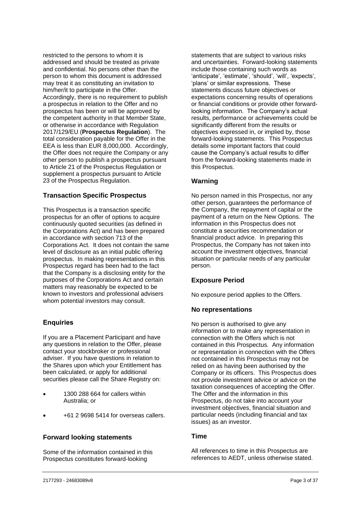restricted to the persons to whom it is addressed and should be treated as private and confidential. No persons other than the person to whom this document is addressed may treat it as constituting an invitation to him/her/it to participate in the Offer. Accordingly, there is no requirement to publish a prospectus in relation to the Offer and no prospectus has been or will be approved by the competent authority in that Member State, or otherwise in accordance with Regulation 2017/129/EU (**Prospectus Regulation**). The total consideration payable for the Offer in the EEA is less than EUR 8,000,000. Accordingly, the Offer does not require the Company or any other person to publish a prospectus pursuant to Article 21 of the Prospectus Regulation or supplement a prospectus pursuant to Article 23 of the Prospectus Regulation.

## **Transaction Specific Prospectus**

This Prospectus is a transaction specific prospectus for an offer of options to acquire continuously quoted securities (as defined in the Corporations Act) and has been prepared in accordance with section 713 of the Corporations Act. It does not contain the same level of disclosure as an initial public offering prospectus. In making representations in this Prospectus regard has been had to the fact that the Company is a disclosing entity for the purposes of the Corporations Act and certain matters may reasonably be expected to be known to investors and professional advisers whom potential investors may consult.

## **Enquiries**

If you are a Placement Participant and have any questions in relation to the Offer, please contact your stockbroker or professional adviser. If you have questions in relation to the Shares upon which your Entitlement has been calculated, or apply for additional securities please call the Share Registry on:

- 1300 288 664 for callers within Australia; or
- +61 2 9698 5414 for overseas callers.

## **Forward looking statements**

Some of the information contained in this Prospectus constitutes forward-looking

statements that are subject to various risks and uncertainties. Forward-looking statements include those containing such words as 'anticipate', 'estimate', 'should', 'will', 'expects', 'plans' or similar expressions. These statements discuss future objectives or expectations concerning results of operations or financial conditions or provide other forwardlooking information. The Company's actual results, performance or achievements could be significantly different from the results or objectives expressed in, or implied by, those forward-looking statements. This Prospectus details some important factors that could cause the Company's actual results to differ from the forward-looking statements made in this Prospectus.

## **Warning**

No person named in this Prospectus, nor any other person, guarantees the performance of the Company, the repayment of capital or the payment of a return on the New Options. The information in this Prospectus does not constitute a securities recommendation or financial product advice. In preparing this Prospectus, the Company has not taken into account the investment objectives, financial situation or particular needs of any particular person.

## **Exposure Period**

No exposure period applies to the Offers.

## **No representations**

No person is authorised to give any information or to make any representation in connection with the Offers which is not contained in this Prospectus. Any information or representation in connection with the Offers not contained in this Prospectus may not be relied on as having been authorised by the Company or its officers. This Prospectus does not provide investment advice or advice on the taxation consequences of accepting the Offer. The Offer and the information in this Prospectus, do not take into account your investment objectives, financial situation and particular needs (including financial and tax issues) as an investor.

## **Time**

All references to time in this Prospectus are references to AEDT, unless otherwise stated.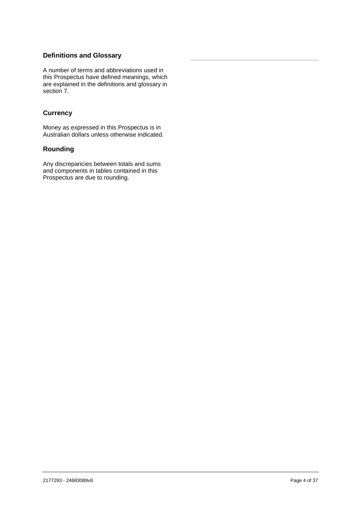# **Definitions and Glossary**

A number of terms and abbreviations used in this Prospectus have defined meanings, which are explained in the definitions and glossary in section [7.](#page-34-0)

# **Currency**

Money as expressed in this Prospectus is in Australian dollars unless otherwise indicated.

## **Rounding**

Any discrepancies between totals and sums and components in tables contained in this Prospectus are due to rounding.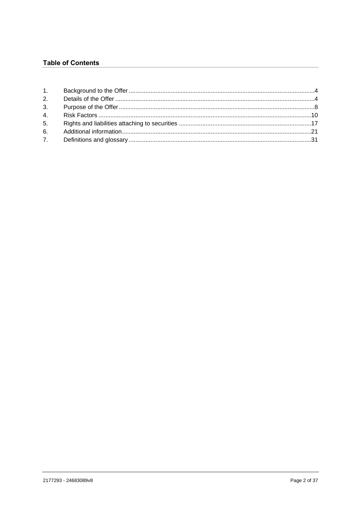# **Table of Contents**

| 3. |  |
|----|--|
| 4. |  |
| 5. |  |
| 6. |  |
|    |  |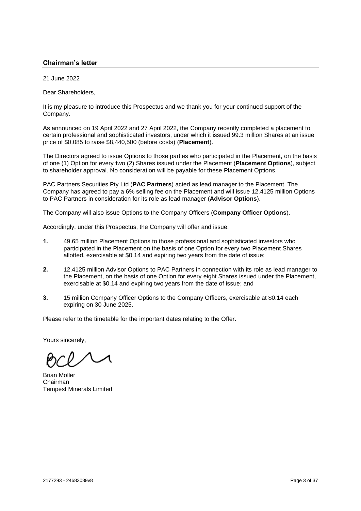## **Chairman's letter**

21 June 2022

Dear Shareholders,

It is my pleasure to introduce this Prospectus and we thank you for your continued support of the Company.

As announced on 19 April 2022 and 27 April 2022, the Company recently completed a placement to certain professional and sophisticated investors, under which it issued 99.3 million Shares at an issue price of \$0.085 to raise \$8,440,500 (before costs) (**Placement**).

The Directors agreed to issue Options to those parties who participated in the Placement, on the basis of one (1) Option for every **t**wo (2) Shares issued under the Placement (**Placement Options**), subject to shareholder approval. No consideration will be payable for these Placement Options.

PAC Partners Securities Pty Ltd (**PAC Partners**) acted as lead manager to the Placement. The Company has agreed to pay a 6% selling fee on the Placement and will issue 12.4125 million Options to PAC Partners in consideration for its role as lead manager (**Advisor Options**).

The Company will also issue Options to the Company Officers (**Company Officer Options**).

Accordingly, under this Prospectus, the Company will offer and issue:

- **1.** 49.65 million Placement Options to those professional and sophisticated investors who participated in the Placement on the basis of one Option for every two Placement Shares allotted, exercisable at \$0.14 and expiring two years from the date of issue;
- **2.** 12.4125 million Advisor Options to PAC Partners in connection with its role as lead manager to the Placement, on the basis of one Option for every eight Shares issued under the Placement, exercisable at \$0.14 and expiring two years from the date of issue; and
- **3.** 15 million Company Officer Options to the Company Officers, exercisable at \$0.14 each expiring on 30 June 2025.

Please refer to the timetable for the important dates relating to the Offer.

Yours sincerely,

Brian Moller Chairman Tempest Minerals Limited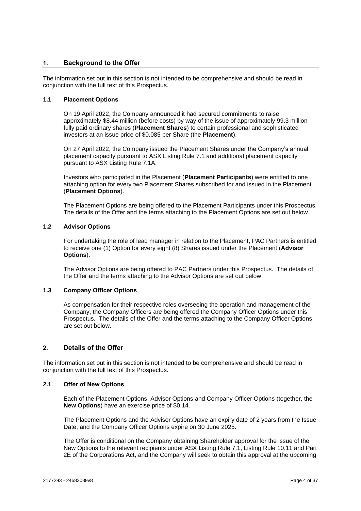## <span id="page-7-1"></span>**1. Background to the Offer**

The information set out in this section is not intended to be comprehensive and should be read in conjunction with the full text of this Prospectus.

## **1.1 Placement Options**

On 19 April 2022, the Company announced it had secured commitments to raise approximately \$8.44 million (before costs) by way of the issue of approximately 99.3 million fully paid ordinary shares (**Placement Shares**) to certain professional and sophisticated investors at an issue price of \$0.085 per Share (the **Placement**).

On 27 April 2022, the Company issued the Placement Shares under the Company's annual placement capacity pursuant to ASX Listing Rule 7.1 and additional placement capacity pursuant to ASX Listing Rule 7.1A.

Investors who participated in the Placement (**Placement Participants**) were entitled to one attaching option for every two Placement Shares subscribed for and issued in the Placement (**Placement Options**).

The Placement Options are being offered to the Placement Participants under this Prospectus. The details of the Offer and the terms attaching to the Placement Options are set out below.

## **1.2 Advisor Options**

For undertaking the role of lead manager in relation to the Placement, PAC Partners is entitled to receive one (1) Option for every eight (8) Shares issued under the Placement (**Advisor Options**).

The Advisor Options are being offered to PAC Partners under this Prospectus. The details of the Offer and the terms attaching to the Advisor Options are set out below.

## **1.3 Company Officer Options**

As compensation for their respective roles overseeing the operation and management of the Company, the Company Officers are being offered the Company Officer Options under this Prospectus. The details of the Offer and the terms attaching to the Company Officer Options are set out below.

## <span id="page-7-2"></span>**2. Details of the Offer**

The information set out in this section is not intended to be comprehensive and should be read in conjunction with the full text of this Prospectus.

## <span id="page-7-0"></span>**2.1 Offer of New Options**

Each of the Placement Options, Advisor Options and Company Officer Options (together, the **New Options**) have an exercise price of \$0.14.

The Placement Options and the Advisor Options have an expiry date of 2 years from the Issue Date, and the Company Officer Options expire on 30 June 2025.

The Offer is conditional on the Company obtaining Shareholder approval for the issue of the New Options to the relevant recipients under ASX Listing Rule 7.1, Listing Rule 10.11 and Part 2E of the Corporations Act, and the Company will seek to obtain this approval at the upcoming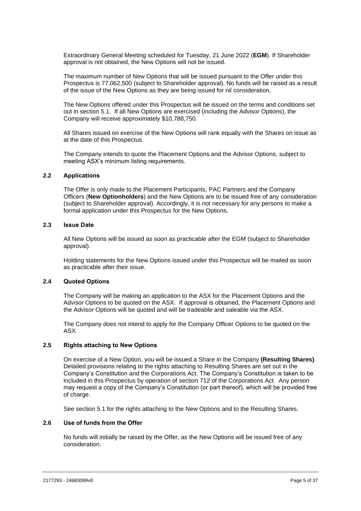Extraordinary General Meeting scheduled for Tuesday, 21 June 2022 (**EGM**). If Shareholder approval is not obtained, the New Options will not be issued.

The maximum number of New Options that will be issued pursuant to the Offer under this Prospectus is 77,062,500 (subject to Shareholder approval). No funds will be raised as a result of the issue of the New Options as they are being issued for nil consideration.

The New Options offered under this Prospectus will be issued on the terms and conditions set out in section [5.1.](#page-20-1) If all New Options are exercised (including the Advisor Options), the Company will receive approximately \$10,788,750.

All Shares issued on exercise of the New Options will rank equally with the Shares on issue as at the date of this Prospectus.

The Company intends to quote the Placement Options and the Advisor Options, subject to meeting ASX's minimum listing requirements.

#### **2.2 Applications**

The Offer is only made to the Placement Participants, PAC Partners and the Company Officers (**New Optionholders**) and the New Options are to be issued free of any consideration (subject to Shareholder approval). Accordingly, it is not necessary for any persons to make a formal application under this Prospectus for the New Options.

## **2.3 Issue Date**

All New Options will be issued as soon as practicable after the EGM (subject to Shareholder approval).

Holding statements for the New Options issued under this Prospectus will be mailed as soon as practicable after their issue.

## **2.4 Quoted Options**

The Company will be making an application to the ASX for the Placement Options and the Advisor Options to be quoted on the ASX. If approval is obtained, the Placement Options and the Advisor Options will be quoted and will be tradeable and saleable via the ASX.

The Company does not intend to apply for the Company Officer Options to be quoted on the ASX.

#### **2.5 Rights attaching to New Options**

On exercise of a New Option, you will be issued a Share in the Company **(Resulting Shares)**. Detailed provisions relating to the rights attaching to Resulting Shares are set out in the Company's Constitution and the Corporations Act. The Company's Constitution is taken to be included in this Prospectus by operation of section 712 of the Corporations Act. Any person may request a copy of the Company's Constitution (or part thereof), which will be provided free of charge.

See section [5.1](#page-20-1) for the rights attaching to the New Options and to the Resulting Shares.

## **2.6 Use of funds from the Offer**

No funds will initially be raised by the Offer, as the New Options will be issued free of any consideration.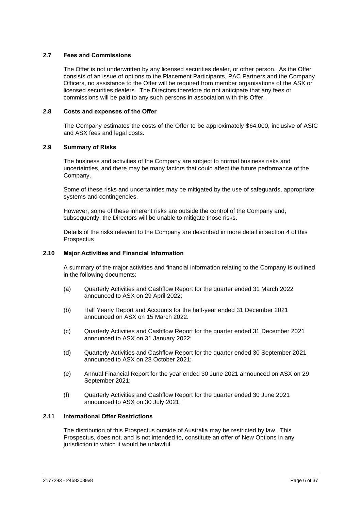## **2.7 Fees and Commissions**

The Offer is not underwritten by any licensed securities dealer, or other person. As the Offer consists of an issue of options to the Placement Participants, PAC Partners and the Company Officers, no assistance to the Offer will be required from member organisations of the ASX or licensed securities dealers. The Directors therefore do not anticipate that any fees or commissions will be paid to any such persons in association with this Offer.

## **2.8 Costs and expenses of the Offer**

The Company estimates the costs of the Offer to be approximately \$64,000, inclusive of ASIC and ASX fees and legal costs.

## **2.9 Summary of Risks**

The business and activities of the Company are subject to normal business risks and uncertainties, and there may be many factors that could affect the future performance of the Company.

Some of these risks and uncertainties may be mitigated by the use of safeguards, appropriate systems and contingencies.

However, some of these inherent risks are outside the control of the Company and, subsequently, the Directors will be unable to mitigate those risks.

Details of the risks relevant to the Company are described in more detail in section [4](#page-13-0) of this **Prospectus** 

#### **2.10 Major Activities and Financial Information**

A summary of the major activities and financial information relating to the Company is outlined in the following documents:

- (a) Quarterly Activities and Cashflow Report for the quarter ended 31 March 2022 announced to ASX on 29 April 2022;
- (b) Half Yearly Report and Accounts for the half-year ended 31 December 2021 announced on ASX on 15 March 2022.
- (c) Quarterly Activities and Cashflow Report for the quarter ended 31 December 2021 announced to ASX on 31 January 2022;
- (d) Quarterly Activities and Cashflow Report for the quarter ended 30 September 2021 announced to ASX on 28 October 2021;
- (e) Annual Financial Report for the year ended 30 June 2021 announced on ASX on 29 September 2021;
- (f) Quarterly Activities and Cashflow Report for the quarter ended 30 June 2021 announced to ASX on 30 July 2021.

## <span id="page-9-0"></span>**2.11 International Offer Restrictions**

The distribution of this Prospectus outside of Australia may be restricted by law. This Prospectus, does not, and is not intended to, constitute an offer of New Options in any jurisdiction in which it would be unlawful.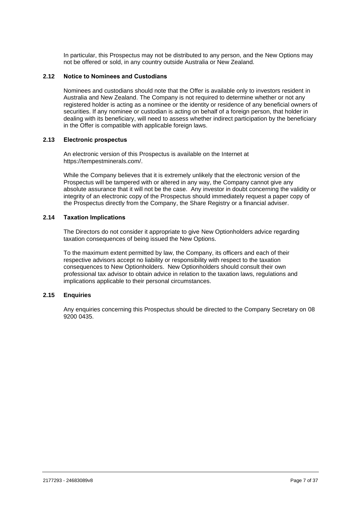In particular, this Prospectus may not be distributed to any person, and the New Options may not be offered or sold, in any country outside Australia or New Zealand.

## **2.12 Notice to Nominees and Custodians**

Nominees and custodians should note that the Offer is available only to investors resident in Australia and New Zealand. The Company is not required to determine whether or not any registered holder is acting as a nominee or the identity or residence of any beneficial owners of securities. If any nominee or custodian is acting on behalf of a foreign person, that holder in dealing with its beneficiary, will need to assess whether indirect participation by the beneficiary in the Offer is compatible with applicable foreign laws.

## **2.13 Electronic prospectus**

An electronic version of this Prospectus is available on the Internet at https://tempestminerals.com/.

While the Company believes that it is extremely unlikely that the electronic version of the Prospectus will be tampered with or altered in any way, the Company cannot give any absolute assurance that it will not be the case. Any investor in doubt concerning the validity or integrity of an electronic copy of the Prospectus should immediately request a paper copy of the Prospectus directly from the Company, the Share Registry or a financial adviser.

## **2.14 Taxation Implications**

The Directors do not consider it appropriate to give New Optionholders advice regarding taxation consequences of being issued the New Options.

To the maximum extent permitted by law, the Company, its officers and each of their respective advisors accept no liability or responsibility with respect to the taxation consequences to New Optionholders. New Optionholders should consult their own professional tax advisor to obtain advice in relation to the taxation laws, regulations and implications applicable to their personal circumstances.

## **2.15 Enquiries**

Any enquiries concerning this Prospectus should be directed to the Company Secretary on 08 9200 0435.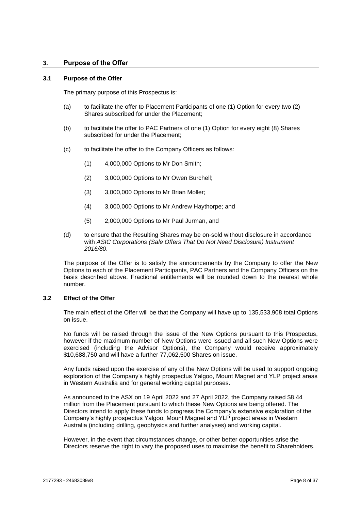## <span id="page-11-0"></span>**3. Purpose of the Offer**

#### <span id="page-11-1"></span>**3.1 Purpose of the Offer**

The primary purpose of this Prospectus is:

- (a) to facilitate the offer to Placement Participants of one (1) Option for every two (2) Shares subscribed for under the Placement;
- (b) to facilitate the offer to PAC Partners of one (1) Option for every eight (8) Shares subscribed for under the Placement;
- (c) to facilitate the offer to the Company Officers as follows:
	- (1) 4,000,000 Options to Mr Don Smith;
	- (2) 3,000,000 Options to Mr Owen Burchell;
	- (3) 3,000,000 Options to Mr Brian Moller;
	- (4) 3,000,000 Options to Mr Andrew Haythorpe; and
	- (5) 2,000,000 Options to Mr Paul Jurman, and
- (d) to ensure that the Resulting Shares may be on-sold without disclosure in accordance with *ASIC Corporations (Sale Offers That Do Not Need Disclosure) Instrument 2016/80*.

The purpose of the Offer is to satisfy the announcements by the Company to offer the New Options to each of the Placement Participants, PAC Partners and the Company Officers on the basis described above. Fractional entitlements will be rounded down to the nearest whole number.

## **3.2 Effect of the Offer**

The main effect of the Offer will be that the Company will have up to 135,533,908 total Options on issue.

No funds will be raised through the issue of the New Options pursuant to this Prospectus, however if the maximum number of New Options were issued and all such New Options were exercised (including the Advisor Options), the Company would receive approximately \$10,688,750 and will have a further 77,062,500 Shares on issue.

Any funds raised upon the exercise of any of the New Options will be used to support ongoing exploration of the Company's highly prospectus Yalgoo, Mount Magnet and YLP project areas in Western Australia and for general working capital purposes.

As announced to the ASX on 19 April 2022 and 27 April 2022, the Company raised \$8.44 million from the Placement pursuant to which these New Options are being offered. The Directors intend to apply these funds to progress the Company's extensive exploration of the Company's highly prospectus Yalgoo, Mount Magnet and YLP project areas in Western Australia (including drilling, geophysics and further analyses) and working capital.

However, in the event that circumstances change, or other better opportunities arise the Directors reserve the right to vary the proposed uses to maximise the benefit to Shareholders.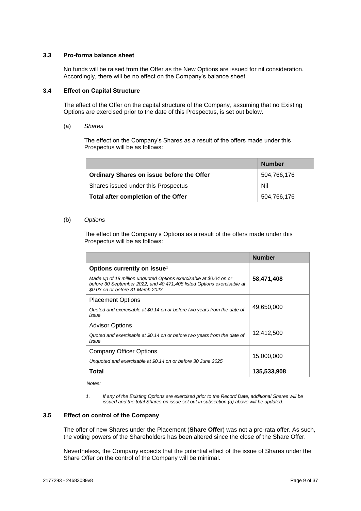## **3.3 Pro-forma balance sheet**

No funds will be raised from the Offer as the New Options are issued for nil consideration. Accordingly, there will be no effect on the Company's balance sheet.

#### **3.4 Effect on Capital Structure**

The effect of the Offer on the capital structure of the Company, assuming that no Existing Options are exercised prior to the date of this Prospectus, is set out below.

(a) *Shares*

The effect on the Company's Shares as a result of the offers made under this Prospectus will be as follows:

|                                           | <b>Number</b> |
|-------------------------------------------|---------------|
| Ordinary Shares on issue before the Offer | 504,766,176   |
| Shares issued under this Prospectus       | Nil           |
| Total after completion of the Offer       | 504,766,176   |

#### (b) *Options*

The effect on the Company's Options as a result of the offers made under this Prospectus will be as follows:

|                                                                                                                                                                                   | <b>Number</b> |
|-----------------------------------------------------------------------------------------------------------------------------------------------------------------------------------|---------------|
| Options currently on issue <sup>1</sup>                                                                                                                                           |               |
| Made up of 18 million unquoted Options exercisable at \$0.04 on or<br>before 30 September 2022, and 40,471,408 listed Options exercisable at<br>\$0.03 on or before 31 March 2023 | 58,471,408    |
| <b>Placement Options</b>                                                                                                                                                          |               |
| Quoted and exercisable at \$0.14 on or before two years from the date of<br>issue                                                                                                 | 49,650,000    |
| <b>Advisor Options</b>                                                                                                                                                            |               |
| Quoted and exercisable at \$0.14 on or before two years from the date of<br>issue                                                                                                 | 12,412,500    |
| <b>Company Officer Options</b>                                                                                                                                                    | 15,000,000    |
| Unquoted and exercisable at \$0.14 on or before 30 June 2025                                                                                                                      |               |
| Total                                                                                                                                                                             | 135,533,908   |

*Notes:*

*1. If any of the Existing Options are exercised prior to the Record Date, additional Shares will be issued and the total Shares on issue set out in subsection (a) above will be updated.* 

## **3.5 Effect on control of the Company**

The offer of new Shares under the Placement (**Share Offer**) was not a pro-rata offer. As such, the voting powers of the Shareholders has been altered since the close of the Share Offer.

Nevertheless, the Company expects that the potential effect of the issue of Shares under the Share Offer on the control of the Company will be minimal.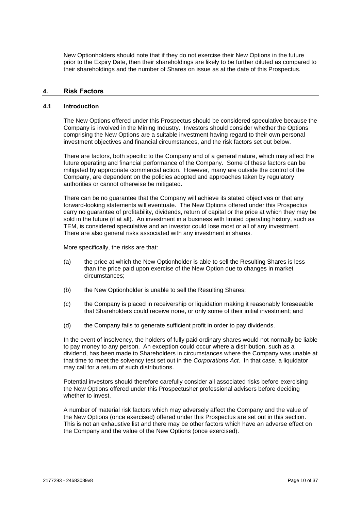New Optionholders should note that if they do not exercise their New Options in the future prior to the Expiry Date, then their shareholdings are likely to be further diluted as compared to their shareholdings and the number of Shares on issue as at the date of this Prospectus.

## <span id="page-13-0"></span>**4. Risk Factors**

#### **4.1 Introduction**

The New Options offered under this Prospectus should be considered speculative because the Company is involved in the Mining Industry. Investors should consider whether the Options comprising the New Options are a suitable investment having regard to their own personal investment objectives and financial circumstances, and the risk factors set out below.

There are factors, both specific to the Company and of a general nature, which may affect the future operating and financial performance of the Company. Some of these factors can be mitigated by appropriate commercial action. However, many are outside the control of the Company, are dependent on the policies adopted and approaches taken by regulatory authorities or cannot otherwise be mitigated.

There can be no guarantee that the Company will achieve its stated objectives or that any forward-looking statements will eventuate. The New Options offered under this Prospectus carry no guarantee of profitability, dividends, return of capital or the price at which they may be sold in the future (if at all). An investment in a business with limited operating history, such as TEM, is considered speculative and an investor could lose most or all of any investment. There are also general risks associated with any investment in shares.

More specifically, the risks are that:

- (a) the price at which the New Optionholder is able to sell the Resulting Shares is less than the price paid upon exercise of the New Option due to changes in market circumstances;
- (b) the New Optionholder is unable to sell the Resulting Shares;
- (c) the Company is placed in receivership or liquidation making it reasonably foreseeable that Shareholders could receive none, or only some of their initial investment; and
- (d) the Company fails to generate sufficient profit in order to pay dividends.

In the event of insolvency, the holders of fully paid ordinary shares would not normally be liable to pay money to any person. An exception could occur where a distribution, such as a dividend, has been made to Shareholders in circumstances where the Company was unable at that time to meet the solvency test set out in the *Corporations Act*. In that case, a liquidator may call for a return of such distributions.

Potential investors should therefore carefully consider all associated risks before exercising the New Options offered under this Prospectusher professional advisers before deciding whether to invest.

A number of material risk factors which may adversely affect the Company and the value of the New Options (once exercised) offered under this Prospectus are set out in this section. This is not an exhaustive list and there may be other factors which have an adverse effect on the Company and the value of the New Options (once exercised).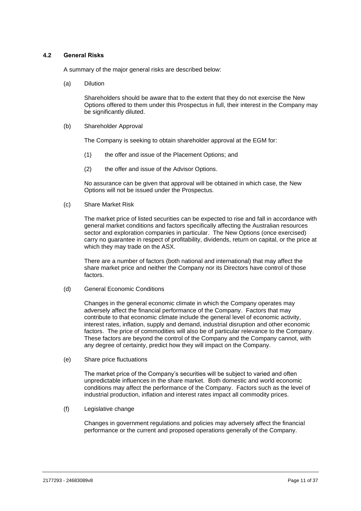## <span id="page-14-0"></span>**4.2 General Risks**

A summary of the major general risks are described below:

(a) Dilution

Shareholders should be aware that to the extent that they do not exercise the New Options offered to them under this Prospectus in full, their interest in the Company may be significantly diluted.

(b) Shareholder Approval

The Company is seeking to obtain shareholder approval at the EGM for:

- (1) the offer and issue of the Placement Options; and
- (2) the offer and issue of the Advisor Options.

No assurance can be given that approval will be obtained in which case, the New Options will not be issued under the Prospectus.

(c) Share Market Risk

The market price of listed securities can be expected to rise and fall in accordance with general market conditions and factors specifically affecting the Australian resources sector and exploration companies in particular. The New Options (once exercised) carry no guarantee in respect of profitability, dividends, return on capital, or the price at which they may trade on the ASX.

There are a number of factors (both national and international) that may affect the share market price and neither the Company nor its Directors have control of those factors.

(d) General Economic Conditions

Changes in the general economic climate in which the Company operates may adversely affect the financial performance of the Company. Factors that may contribute to that economic climate include the general level of economic activity, interest rates, inflation, supply and demand, industrial disruption and other economic factors. The price of commodities will also be of particular relevance to the Company. These factors are beyond the control of the Company and the Company cannot, with any degree of certainty, predict how they will impact on the Company.

(e) Share price fluctuations

The market price of the Company's securities will be subject to varied and often unpredictable influences in the share market. Both domestic and world economic conditions may affect the performance of the Company. Factors such as the level of industrial production, inflation and interest rates impact all commodity prices.

(f) Legislative change

Changes in government regulations and policies may adversely affect the financial performance or the current and proposed operations generally of the Company.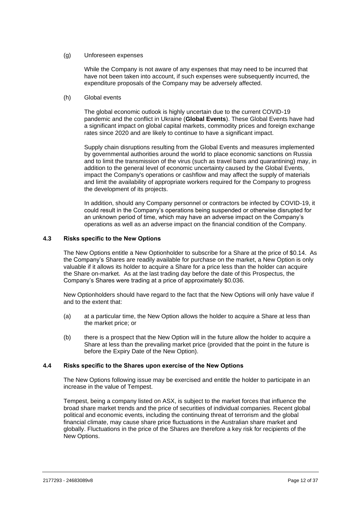#### (g) Unforeseen expenses

While the Company is not aware of any expenses that may need to be incurred that have not been taken into account, if such expenses were subsequently incurred, the expenditure proposals of the Company may be adversely affected.

## (h) Global events

The global economic outlook is highly uncertain due to the current COVID-19 pandemic and the conflict in Ukraine (**Global Events**). These Global Events have had a significant impact on global capital markets, commodity prices and foreign exchange rates since 2020 and are likely to continue to have a significant impact.

Supply chain disruptions resulting from the Global Events and measures implemented by governmental authorities around the world to place economic sanctions on Russia and to limit the transmission of the virus (such as travel bans and quarantining) may, in addition to the general level of economic uncertainty caused by the Global Events, impact the Company's operations or cashflow and may affect the supply of materials and limit the availability of appropriate workers required for the Company to progress the development of its projects.

In addition, should any Company personnel or contractors be infected by COVID-19, it could result in the Company's operations being suspended or otherwise disrupted for an unknown period of time, which may have an adverse impact on the Company's operations as well as an adverse impact on the financial condition of the Company.

## **4.3 Risks specific to the New Options**

The New Options entitle a New Optionholder to subscribe for a Share at the price of \$0.14. As the Company's Shares are readily available for purchase on the market, a New Option is only valuable if it allows its holder to acquire a Share for a price less than the holder can acquire the Share on-market. As at the last trading day before the date of this Prospectus, the Company's Shares were trading at a price of approximately \$0.036.

New Optionholders should have regard to the fact that the New Options will only have value if and to the extent that:

- (a) at a particular time, the New Option allows the holder to acquire a Share at less than the market price; or
- (b) there is a prospect that the New Option will in the future allow the holder to acquire a Share at less than the prevailing market price (provided that the point in the future is before the Expiry Date of the New Option).

## **4.4 Risks specific to the Shares upon exercise of the New Options**

The New Options following issue may be exercised and entitle the holder to participate in an increase in the value of Tempest.

Tempest, being a company listed on ASX, is subject to the market forces that influence the broad share market trends and the price of securities of individual companies. Recent global political and economic events, including the continuing threat of terrorism and the global financial climate, may cause share price fluctuations in the Australian share market and globally. Fluctuations in the price of the Shares are therefore a key risk for recipients of the New Options.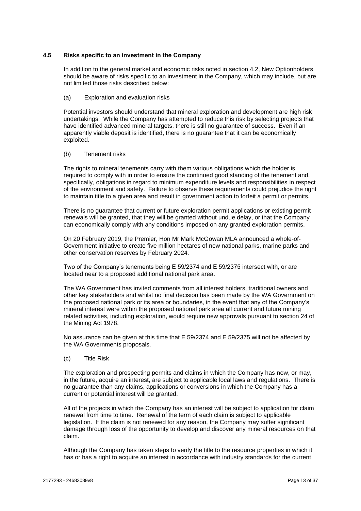## **4.5 Risks specific to an investment in the Company**

In addition to the general market and economic risks noted in section [4.2,](#page-14-0) New Optionholders should be aware of risks specific to an investment in the Company, which may include, but are not limited those risks described below:

#### (a) Exploration and evaluation risks

Potential investors should understand that mineral exploration and development are high risk undertakings. While the Company has attempted to reduce this risk by selecting projects that have identified advanced mineral targets, there is still no guarantee of success. Even if an apparently viable deposit is identified, there is no guarantee that it can be economically exploited.

#### (b) Tenement risks

The rights to mineral tenements carry with them various obligations which the holder is required to comply with in order to ensure the continued good standing of the tenement and, specifically, obligations in regard to minimum expenditure levels and responsibilities in respect of the environment and safety. Failure to observe these requirements could prejudice the right to maintain title to a given area and result in government action to forfeit a permit or permits.

There is no guarantee that current or future exploration permit applications or existing permit renewals will be granted, that they will be granted without undue delay, or that the Company can economically comply with any conditions imposed on any granted exploration permits.

On 20 February 2019, the Premier, Hon Mr Mark McGowan MLA announced a whole-of-Government initiative to create five million hectares of new national parks, marine parks and other conservation reserves by February 2024.

Two of the Company's tenements being E 59/2374 and E 59/2375 intersect with, or are located near to a proposed additional national park area.

The WA Government has invited comments from all interest holders, traditional owners and other key stakeholders and whilst no final decision has been made by the WA Government on the proposed national park or its area or boundaries, in the event that any of the Company's mineral interest were within the proposed national park area all current and future mining related activities, including exploration, would require new approvals pursuant to section 24 of the Mining Act 1978.

No assurance can be given at this time that E 59/2374 and E 59/2375 will not be affected by the WA Governments proposals.

(c) Title Risk

The exploration and prospecting permits and claims in which the Company has now, or may, in the future, acquire an interest, are subject to applicable local laws and regulations. There is no guarantee than any claims, applications or conversions in which the Company has a current or potential interest will be granted.

All of the projects in which the Company has an interest will be subject to application for claim renewal from time to time. Renewal of the term of each claim is subject to applicable legislation. If the claim is not renewed for any reason, the Company may suffer significant damage through loss of the opportunity to develop and discover any mineral resources on that claim.

Although the Company has taken steps to verify the title to the resource properties in which it has or has a right to acquire an interest in accordance with industry standards for the current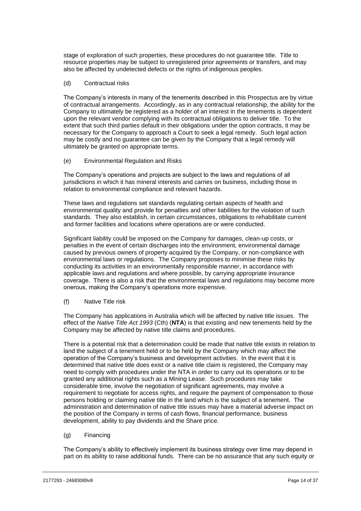stage of exploration of such properties, these procedures do not guarantee title. Title to resource properties may be subject to unregistered prior agreements or transfers, and may also be affected by undetected defects or the rights of indigenous peoples.

## (d) Contractual risks

The Company's interests in many of the tenements described in this Prospectus are by virtue of contractual arrangements. Accordingly, as in any contractual relationship, the ability for the Company to ultimately be registered as a holder of an interest in the tenements is dependent upon the relevant vendor complying with its contractual obligations to deliver title. To the extent that such third parties default in their obligations under the option contracts, it may be necessary for the Company to approach a Court to seek a legal remedy. Such legal action may be costly and no guarantee can be given by the Company that a legal remedy will ultimately be granted on appropriate terms.

## (e) Environmental Regulation and Risks

The Company's operations and projects are subject to the laws and regulations of all jurisdictions in which it has mineral interests and carries on business, including those in relation to environmental compliance and relevant hazards.

These laws and regulations set standards regulating certain aspects of health and environmental quality and provide for penalties and other liabilities for the violation of such standards. They also establish, in certain circumstances, obligations to rehabilitate current and former facilities and locations where operations are or were conducted.

Significant liability could be imposed on the Company for damages, clean-up costs, or penalties in the event of certain discharges into the environment, environmental damage caused by previous owners of property acquired by the Company, or non-compliance with environmental laws or regulations. The Company proposes to minimise these risks by conducting its activities in an environmentally responsible manner, in accordance with applicable laws and regulations and where possible, by carrying appropriate insurance coverage. There is also a risk that the environmental laws and regulations may become more onerous, making the Company's operations more expensive.

#### (f) Native Title risk

The Company has applications in Australia which will be affected by native title issues. The effect of the *Native Title Act 1993* (Cth) (**NTA**) is that existing and new tenements held by the Company may be affected by native title claims and procedures.

There is a potential risk that a determination could be made that native title exists in relation to land the subject of a tenement held or to be held by the Company which may affect the operation of the Company's business and development activities. In the event that it is determined that native title does exist or a native title claim is registered, the Company may need to comply with procedures under the NTA in order to carry out its operations or to be granted any additional rights such as a Mining Lease. Such procedures may take considerable time, involve the negotiation of significant agreements, may involve a requirement to negotiate for access rights, and require the payment of compensation to those persons holding or claiming native title in the land which is the subject of a tenement. The administration and determination of native title issues may have a material adverse impact on the position of the Company in terms of cash flows, financial performance, business development, ability to pay dividends and the Share price.

## (g) Financing

The Company's ability to effectively implement its business strategy over time may depend in part on its ability to raise additional funds. There can be no assurance that any such equity or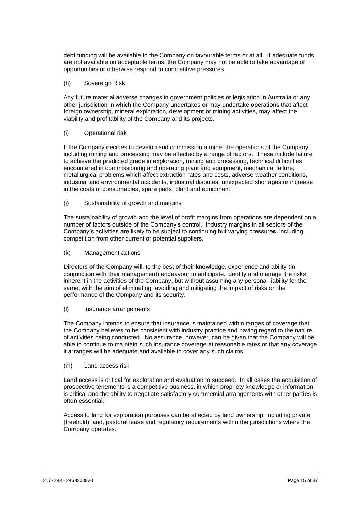debt funding will be available to the Company on favourable terms or at all. If adequate funds are not available on acceptable terms, the Company may not be able to take advantage of opportunities or otherwise respond to competitive pressures.

#### (h) Sovereign Risk

Any future material adverse changes in government policies or legislation in Australia or any other jurisdiction in which the Company undertakes or may undertake operations that affect foreign ownership, mineral exploration, development or mining activities, may affect the viability and profitability of the Company and its projects.

## (i) Operational risk

If the Company decides to develop and commission a mine, the operations of the Company including mining and processing may be affected by a range of factors. These include failure to achieve the predicted grade in exploration, mining and processing, technical difficulties encountered in commissioning and operating plant and equipment, mechanical failure, metallurgical problems which affect extraction rates and costs, adverse weather conditions, industrial and environmental accidents, industrial disputes, unexpected shortages or increase in the costs of consumables, spare parts, plant and equipment.

## (j) Sustainability of growth and margins

The sustainability of growth and the level of profit margins from operations are dependent on a number of factors outside of the Company's control. Industry margins in all sectors of the Company's activities are likely to be subject to continuing but varying pressures, including competition from other current or potential suppliers.

## (k) Management actions

Directors of the Company will, to the best of their knowledge, experience and ability (in conjunction with their management) endeavour to anticipate, identify and manage the risks inherent in the activities of the Company, but without assuming any personal liability for the same, with the aim of eliminating, avoiding and mitigating the impact of risks on the performance of the Company and its security.

#### (l) Insurance arrangements

The Company intends to ensure that insurance is maintained within ranges of coverage that the Company believes to be consistent with industry practice and having regard to the nature of activities being conducted. No assurance, however, can be given that the Company will be able to continue to maintain such insurance coverage at reasonable rates or that any coverage it arranges will be adequate and available to cover any such claims.

#### (m) Land access risk

Land access is critical for exploration and evaluation to succeed. In all cases the acquisition of prospective tenements is a competitive business, in which propriety knowledge or information is critical and the ability to negotiate satisfactory commercial arrangements with other parties is often essential.

Access to land for exploration purposes can be affected by land ownership, including private (freehold) land, pastoral lease and regulatory requirements within the jurisdictions where the Company operates.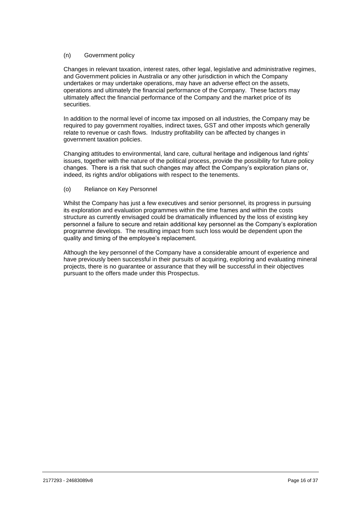## (n) Government policy

Changes in relevant taxation, interest rates, other legal, legislative and administrative regimes, and Government policies in Australia or any other jurisdiction in which the Company undertakes or may undertake operations, may have an adverse effect on the assets, operations and ultimately the financial performance of the Company. These factors may ultimately affect the financial performance of the Company and the market price of its securities.

In addition to the normal level of income tax imposed on all industries, the Company may be required to pay government royalties, indirect taxes, GST and other imposts which generally relate to revenue or cash flows. Industry profitability can be affected by changes in government taxation policies.

Changing attitudes to environmental, land care, cultural heritage and indigenous land rights' issues, together with the nature of the political process, provide the possibility for future policy changes. There is a risk that such changes may affect the Company's exploration plans or, indeed, its rights and/or obligations with respect to the tenements.

(o) Reliance on Key Personnel

Whilst the Company has just a few executives and senior personnel, its progress in pursuing its exploration and evaluation programmes within the time frames and within the costs structure as currently envisaged could be dramatically influenced by the loss of existing key personnel a failure to secure and retain additional key personnel as the Company's exploration programme develops. The resulting impact from such loss would be dependent upon the quality and timing of the employee's replacement.

Although the key personnel of the Company have a considerable amount of experience and have previously been successful in their pursuits of acquiring, exploring and evaluating mineral projects, there is no guarantee or assurance that they will be successful in their objectives pursuant to the offers made under this Prospectus.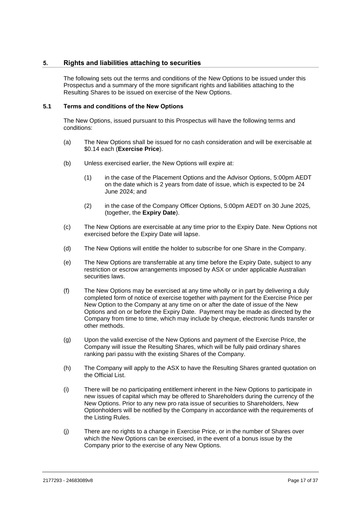## <span id="page-20-0"></span>**5. Rights and liabilities attaching to securities**

The following sets out the terms and conditions of the New Options to be issued under this Prospectus and a summary of the more significant rights and liabilities attaching to the Resulting Shares to be issued on exercise of the New Options.

#### <span id="page-20-1"></span>**5.1 Terms and conditions of the New Options**

The New Options, issued pursuant to this Prospectus will have the following terms and conditions:

- (a) The New Options shall be issued for no cash consideration and will be exercisable at \$0.14 each (**Exercise Price**).
- (b) Unless exercised earlier, the New Options will expire at:
	- (1) in the case of the Placement Options and the Advisor Options, 5:00pm AEDT on the date which is 2 years from date of issue, which is expected to be 24 June 2024; and
	- (2) in the case of the Company Officer Options, 5:00pm AEDT on 30 June 2025, (together, the **Expiry Date**).
- (c) The New Options are exercisable at any time prior to the Expiry Date. New Options not exercised before the Expiry Date will lapse.
- (d) The New Options will entitle the holder to subscribe for one Share in the Company.
- (e) The New Options are transferrable at any time before the Expiry Date, subject to any restriction or escrow arrangements imposed by ASX or under applicable Australian securities laws.
- (f) The New Options may be exercised at any time wholly or in part by delivering a duly completed form of notice of exercise together with payment for the Exercise Price per New Option to the Company at any time on or after the date of issue of the New Options and on or before the Expiry Date. Payment may be made as directed by the Company from time to time, which may include by cheque, electronic funds transfer or other methods.
- (g) Upon the valid exercise of the New Options and payment of the Exercise Price, the Company will issue the Resulting Shares, which will be fully paid ordinary shares ranking pari passu with the existing Shares of the Company.
- (h) The Company will apply to the ASX to have the Resulting Shares granted quotation on the Official List.
- (i) There will be no participating entitlement inherent in the New Options to participate in new issues of capital which may be offered to Shareholders during the currency of the New Options. Prior to any new pro rata issue of securities to Shareholders, New Optionholders will be notified by the Company in accordance with the requirements of the Listing Rules.
- (j) There are no rights to a change in Exercise Price, or in the number of Shares over which the New Options can be exercised, in the event of a bonus issue by the Company prior to the exercise of any New Options.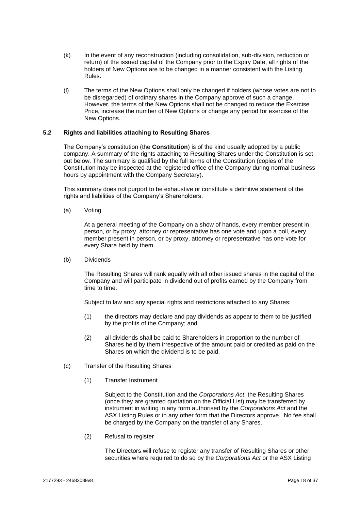- (k) In the event of any reconstruction (including consolidation, sub-division, reduction or return) of the issued capital of the Company prior to the Expiry Date, all rights of the holders of New Options are to be changed in a manner consistent with the Listing Rules.
- (l) The terms of the New Options shall only be changed if holders (whose votes are not to be disregarded) of ordinary shares in the Company approve of such a change. However, the terms of the New Options shall not be changed to reduce the Exercise Price, increase the number of New Options or change any period for exercise of the New Options.

## **5.2 Rights and liabilities attaching to Resulting Shares**

The Company's constitution (the **Constitution**) is of the kind usually adopted by a public company. A summary of the rights attaching to Resulting Shares under the Constitution is set out below. The summary is qualified by the full terms of the Constitution (copies of the Constitution may be inspected at the registered office of the Company during normal business hours by appointment with the Company Secretary).

This summary does not purport to be exhaustive or constitute a definitive statement of the rights and liabilities of the Company's Shareholders.

(a) Voting

At a general meeting of the Company on a show of hands, every member present in person, or by proxy, attorney or representative has one vote and upon a poll, every member present in person, or by proxy, attorney or representative has one vote for every Share held by them.

(b) Dividends

The Resulting Shares will rank equally with all other issued shares in the capital of the Company and will participate in dividend out of profits earned by the Company from time to time.

Subject to law and any special rights and restrictions attached to any Shares:

- (1) the directors may declare and pay dividends as appear to them to be justified by the profits of the Company; and
- (2) all dividends shall be paid to Shareholders in proportion to the number of Shares held by them irrespective of the amount paid or credited as paid on the Shares on which the dividend is to be paid.
- (c) Transfer of the Resulting Shares
	- (1) Transfer Instrument

Subject to the Constitution and the *Corporations Act*, the Resulting Shares (once they are granted quotation on the Official List) may be transferred by instrument in writing in any form authorised by the *Corporations Act* and the ASX Listing Rules or in any other form that the Directors approve. No fee shall be charged by the Company on the transfer of any Shares.

(2) Refusal to register

The Directors will refuse to register any transfer of Resulting Shares or other securities where required to do so by the *Corporations Act* or the ASX Listing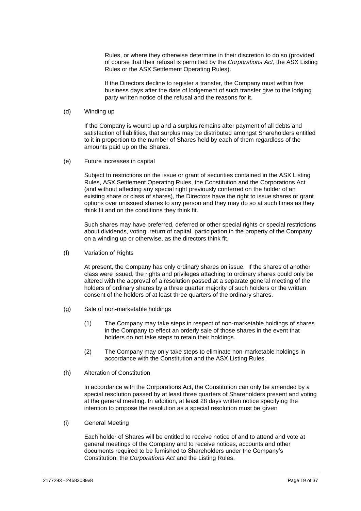Rules, or where they otherwise determine in their discretion to do so (provided of course that their refusal is permitted by the *Corporations Act*, the ASX Listing Rules or the ASX Settlement Operating Rules).

If the Directors decline to register a transfer, the Company must within five business days after the date of lodgement of such transfer give to the lodging party written notice of the refusal and the reasons for it.

#### (d) Winding up

If the Company is wound up and a surplus remains after payment of all debts and satisfaction of liabilities, that surplus may be distributed amongst Shareholders entitled to it in proportion to the number of Shares held by each of them regardless of the amounts paid up on the Shares.

(e) Future increases in capital

Subject to restrictions on the issue or grant of securities contained in the ASX Listing Rules, ASX Settlement Operating Rules, the Constitution and the Corporations Act (and without affecting any special right previously conferred on the holder of an existing share or class of shares), the Directors have the right to issue shares or grant options over unissued shares to any person and they may do so at such times as they think fit and on the conditions they think fit.

Such shares may have preferred, deferred or other special rights or special restrictions about dividends, voting, return of capital, participation in the property of the Company on a winding up or otherwise, as the directors think fit.

(f) Variation of Rights

At present, the Company has only ordinary shares on issue. If the shares of another class were issued, the rights and privileges attaching to ordinary shares could only be altered with the approval of a resolution passed at a separate general meeting of the holders of ordinary shares by a three quarter majority of such holders or the written consent of the holders of at least three quarters of the ordinary shares.

- (g) Sale of non-marketable holdings
	- (1) The Company may take steps in respect of non-marketable holdings of shares in the Company to effect an orderly sale of those shares in the event that holders do not take steps to retain their holdings.
	- (2) The Company may only take steps to eliminate non-marketable holdings in accordance with the Constitution and the ASX Listing Rules.
- (h) Alteration of Constitution

In accordance with the Corporations Act, the Constitution can only be amended by a special resolution passed by at least three quarters of Shareholders present and voting at the general meeting. In addition, at least 28 days written notice specifying the intention to propose the resolution as a special resolution must be given

(i) General Meeting

Each holder of Shares will be entitled to receive notice of and to attend and vote at general meetings of the Company and to receive notices, accounts and other documents required to be furnished to Shareholders under the Company's Constitution, the *Corporations Act* and the Listing Rules.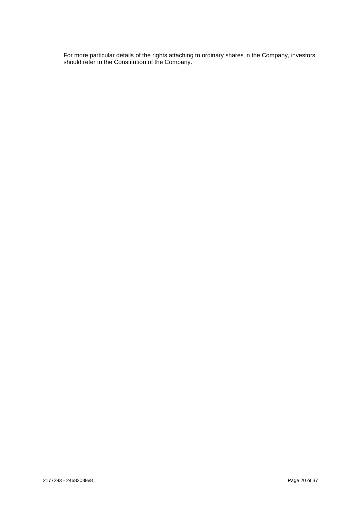For more particular details of the rights attaching to ordinary shares in the Company, investors should refer to the Constitution of the Company.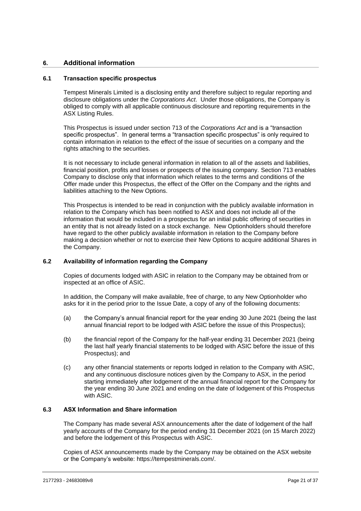## <span id="page-24-0"></span>**6. Additional information**

## **6.1 Transaction specific prospectus**

Tempest Minerals Limited is a disclosing entity and therefore subject to regular reporting and disclosure obligations under the *Corporations Act*. Under those obligations, the Company is obliged to comply with all applicable continuous disclosure and reporting requirements in the ASX Listing Rules.

This Prospectus is issued under section 713 of the *Corporations Act* and is a "transaction specific prospectus". In general terms a "transaction specific prospectus" is only required to contain information in relation to the effect of the issue of securities on a company and the rights attaching to the securities.

It is not necessary to include general information in relation to all of the assets and liabilities, financial position, profits and losses or prospects of the issuing company. Section 713 enables Company to disclose only that information which relates to the terms and conditions of the Offer made under this Prospectus, the effect of the Offer on the Company and the rights and liabilities attaching to the New Options.

This Prospectus is intended to be read in conjunction with the publicly available information in relation to the Company which has been notified to ASX and does not include all of the information that would be included in a prospectus for an initial public offering of securities in an entity that is not already listed on a stock exchange. New Optionholders should therefore have regard to the other publicly available information in relation to the Company before making a decision whether or not to exercise their New Options to acquire additional Shares in the Company.

## <span id="page-24-1"></span>**6.2 Availability of information regarding the Company**

Copies of documents lodged with ASIC in relation to the Company may be obtained from or inspected at an office of ASIC.

In addition, the Company will make available, free of charge, to any New Optionholder who asks for it in the period prior to the Issue Date, a copy of any of the following documents:

- (a) the Company's annual financial report for the year ending 30 June 2021 (being the last annual financial report to be lodged with ASIC before the issue of this Prospectus);
- (b) the financial report of the Company for the half-year ending 31 December 2021 (being the last half yearly financial statements to be lodged with ASIC before the issue of this Prospectus); and
- (c) any other financial statements or reports lodged in relation to the Company with ASIC, and any continuous disclosure notices given by the Company to ASX, in the period starting immediately after lodgement of the annual financial report for the Company for the year ending 30 June 2021 and ending on the date of lodgement of this Prospectus with ASIC.

## <span id="page-24-2"></span>**6.3 ASX Information and Share information**

The Company has made several ASX announcements after the date of lodgement of the half yearly accounts of the Company for the period ending 31 December 2021 (on 15 March 2022) and before the lodgement of this Prospectus with ASIC.

Copies of ASX announcements made by the Company may be obtained on the ASX website or the Company's website: https://tempestminerals.com/.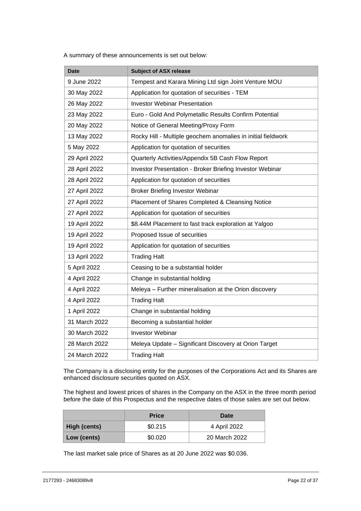A summary of these announcements is set out below:

| <b>Date</b>   | <b>Subject of ASX release</b>                                   |
|---------------|-----------------------------------------------------------------|
| 9 June 2022   | Tempest and Karara Mining Ltd sign Joint Venture MOU            |
| 30 May 2022   | Application for quotation of securities - TEM                   |
| 26 May 2022   | <b>Investor Webinar Presentation</b>                            |
| 23 May 2022   | Euro - Gold And Polymetallic Results Confirm Potential          |
| 20 May 2022   | Notice of General Meeting/Proxy Form                            |
| 13 May 2022   | Rocky Hill - Multiple geochem anomalies in initial fieldwork    |
| 5 May 2022    | Application for quotation of securities                         |
| 29 April 2022 | Quarterly Activities/Appendix 5B Cash Flow Report               |
| 28 April 2022 | <b>Investor Presentation - Broker Briefing Investor Webinar</b> |
| 28 April 2022 | Application for quotation of securities                         |
| 27 April 2022 | <b>Broker Briefing Investor Webinar</b>                         |
| 27 April 2022 | Placement of Shares Completed & Cleansing Notice                |
| 27 April 2022 | Application for quotation of securities                         |
| 19 April 2022 | \$8.44M Placement to fast track exploration at Yalgoo           |
| 19 April 2022 | Proposed Issue of securities                                    |
| 19 April 2022 | Application for quotation of securities                         |
| 13 April 2022 | <b>Trading Halt</b>                                             |
| 5 April 2022  | Ceasing to be a substantial holder                              |
| 4 April 2022  | Change in substantial holding                                   |
| 4 April 2022  | Meleya - Further mineralisation at the Orion discovery          |
| 4 April 2022  | <b>Trading Halt</b>                                             |
| 1 April 2022  | Change in substantial holding                                   |
| 31 March 2022 | Becoming a substantial holder                                   |
| 30 March 2022 | <b>Investor Webinar</b>                                         |
| 28 March 2022 | Meleya Update - Significant Discovery at Orion Target           |
| 24 March 2022 | <b>Trading Halt</b>                                             |

The Company is a disclosing entity for the purposes of the Corporations Act and its Shares are enhanced disclosure securities quoted on ASX.

The highest and lowest prices of shares in the Company on the ASX in the three month period before the date of this Prospectus and the respective dates of those sales are set out below.

|              | <b>Price</b> | Date          |
|--------------|--------------|---------------|
| High (cents) | \$0.215      | 4 April 2022  |
| Low (cents)  | \$0.020      | 20 March 2022 |

The last market sale price of Shares as at 20 June 2022 was \$0.036.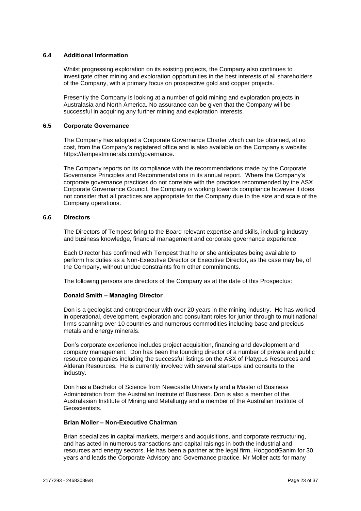## **6.4 Additional Information**

Whilst progressing exploration on its existing projects, the Company also continues to investigate other mining and exploration opportunities in the best interests of all shareholders of the Company, with a primary focus on prospective gold and copper projects.

Presently the Company is looking at a number of gold mining and exploration projects in Australasia and North America. No assurance can be given that the Company will be successful in acquiring any further mining and exploration interests.

## **6.5 Corporate Governance**

The Company has adopted a Corporate Governance Charter which can be obtained, at no cost, from the Company's registered office and is also available on the Company's website: https://tempestminerals.com/governance.

The Company reports on its compliance with the recommendations made by the Corporate Governance Principles and Recommendations in its annual report. Where the Company's corporate governance practices do not correlate with the practices recommended by the ASX Corporate Governance Council, the Company is working towards compliance however it does not consider that all practices are appropriate for the Company due to the size and scale of the Company operations.

## **6.6 Directors**

The Directors of Tempest bring to the Board relevant expertise and skills, including industry and business knowledge, financial management and corporate governance experience.

Each Director has confirmed with Tempest that he or she anticipates being available to perform his duties as a Non-Executive Director or Executive Director, as the case may be, of the Company, without undue constraints from other commitments.

The following persons are directors of the Company as at the date of this Prospectus:

## **Donald Smith – Managing Director**

Don is a geologist and entrepreneur with over 20 years in the mining industry. He has worked in operational, development, exploration and consultant roles for junior through to multinational firms spanning over 10 countries and numerous commodities including base and precious metals and energy minerals.

Don's corporate experience includes project acquisition, financing and development and company management. Don has been the founding director of a number of private and public resource companies including the successful listings on the ASX of Platypus Resources and Alderan Resources. He is currently involved with several start-ups and consults to the industry.

Don has a Bachelor of Science from Newcastle University and a Master of Business Administration from the Australian Institute of Business. Don is also a member of the Australasian Institute of Mining and Metallurgy and a member of the Australian Institute of Geoscientists.

#### **Brian Moller – Non-Executive Chairman**

Brian specializes in capital markets, mergers and acquisitions, and corporate restructuring, and has acted in numerous transactions and capital raisings in both the industrial and resources and energy sectors. He has been a partner at the legal firm, HopgoodGanim for 30 years and leads the Corporate Advisory and Governance practice. Mr Moller acts for many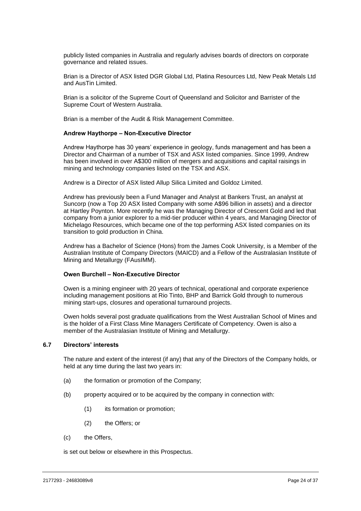publicly listed companies in Australia and regularly advises boards of directors on corporate governance and related issues.

Brian is a Director of ASX listed DGR Global Ltd, Platina Resources Ltd, New Peak Metals Ltd and AusTin Limited.

Brian is a solicitor of the Supreme Court of Queensland and Solicitor and Barrister of the Supreme Court of Western Australia.

Brian is a member of the Audit & Risk Management Committee.

#### **Andrew Haythorpe – Non-Executive Director**

Andrew Haythorpe has 30 years' experience in geology, funds management and has been a Director and Chairman of a number of TSX and ASX listed companies. Since 1999, Andrew has been involved in over A\$300 million of mergers and acquisitions and capital raisings in mining and technology companies listed on the TSX and ASX.

Andrew is a Director of ASX listed Allup Silica Limited and Goldoz Limited.

Andrew has previously been a Fund Manager and Analyst at Bankers Trust, an analyst at Suncorp (now a Top 20 ASX listed Company with some A\$96 billion in assets) and a director at Hartley Poynton. More recently he was the Managing Director of Crescent Gold and led that company from a junior explorer to a mid-tier producer within 4 years, and Managing Director of Michelago Resources, which became one of the top performing ASX listed companies on its transition to gold production in China.

Andrew has a Bachelor of Science (Hons) from the James Cook University, is a Member of the Australian Institute of Company Directors (MAICD) and a Fellow of the Australasian Institute of Mining and Metallurgy (FAusIMM).

#### **Owen Burchell – Non-Executive Director**

Owen is a mining engineer with 20 years of technical, operational and corporate experience including management positions at Rio Tinto, BHP and Barrick Gold through to numerous mining start-ups, closures and operational turnaround projects.

Owen holds several post graduate qualifications from the West Australian School of Mines and is the holder of a First Class Mine Managers Certificate of Competency. Owen is also a member of the Australasian Institute of Mining and Metallurgy.

## **6.7 Directors' interests**

The nature and extent of the interest (if any) that any of the Directors of the Company holds, or held at any time during the last two years in:

- (a) the formation or promotion of the Company;
- (b) property acquired or to be acquired by the company in connection with:
	- (1) its formation or promotion;
	- (2) the Offers; or
- (c) the Offers,

is set out below or elsewhere in this Prospectus.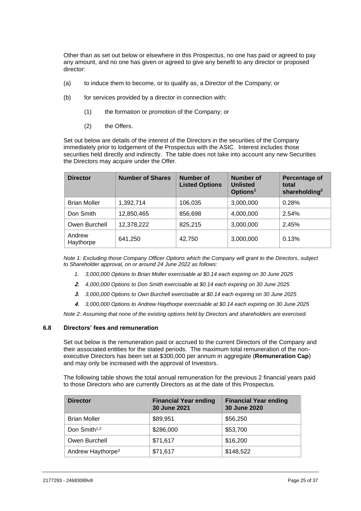Other than as set out below or elsewhere in this Prospectus, no one has paid or agreed to pay any amount, and no one has given or agreed to give any benefit to any director or proposed director:

- (a) to induce them to become, or to qualify as, a Director of the Company; or
- (b) for services provided by a director in connection with:
	- (1) the formation or promotion of the Company; or
	- (2) the Offers.

Set out below are details of the interest of the Directors in the securities of the Company immediately prior to lodgement of the Prospectus with the ASIC. Interest includes those securities held directly and indirectly. The table does not take into account any new Securities the Directors may acquire under the Offer.

| <b>Director</b>     | <b>Number of Shares</b> | <b>Number of</b><br><b>Listed Options</b> | Number of<br><b>Unlisted</b><br>Options <sup>1</sup> | Percentage of<br>total<br>shareholding <sup>2</sup> |
|---------------------|-------------------------|-------------------------------------------|------------------------------------------------------|-----------------------------------------------------|
| <b>Brian Moller</b> | 1,392,714               | 106,035                                   | 3,000,000                                            | 0.28%                                               |
| Don Smith           | 12,850,465              | 856,698                                   | 4,000,000                                            | 2.54%                                               |
| Owen Burchell       | 12,378,222              | 825,215                                   | 3,000,000                                            | 2.45%                                               |
| Andrew<br>Haythorpe | 641,250                 | 42,750                                    | 3,000,000                                            | 0.13%                                               |

*Note 1: Excluding those Company Officer Options which the Company will grant to the Directors, subject to Shareholder approval, on or around 24 June 2022 as follows:*

- *1. 3,000,000 Options to Brian Moller exercisable at \$0.14 each expiring on 30 June 2025*
- **2.** *4,000,000 Options to Don Smith exercisable at \$0.14 each expiring on 30 June 2025*
- **3.** *3,000,000 Options to Own Burchell exercisable at \$0.14 each expiring on 30 June 2025*
- **4.** *3,000,000 Options to Andrew Haythorpe exercisable at \$0.14 each expiring on 30 June 2025*

*Note 2: Assuming that none of the existing options held by Directors and shareholders are exercised.*

#### **6.8 Directors' fees and remuneration**

Set out below is the remuneration paid or accrued to the current Directors of the Company and their associated entities for the stated periods. The maximum total remuneration of the nonexecutive Directors has been set at \$300,000 per annum in aggregate (**Remuneration Cap**) and may only be increased with the approval of Investors.

The following table shows the total annual remuneration for the previous 2 financial years paid to those Directors who are currently Directors as at the date of this Prospectus.

| <b>Director</b>               | <b>Financial Year ending</b><br>30 June 2021 | <b>Financial Year ending</b><br>30 June 2020 |
|-------------------------------|----------------------------------------------|----------------------------------------------|
| <b>Brian Moller</b>           | \$89,951                                     | \$56,250                                     |
| Don Smith <sup>1,2</sup>      | \$286,000                                    | \$53,700                                     |
| Owen Burchell                 | \$71,617                                     | \$16,200                                     |
| Andrew Haythorpe <sup>3</sup> | \$71,617                                     | \$148,522                                    |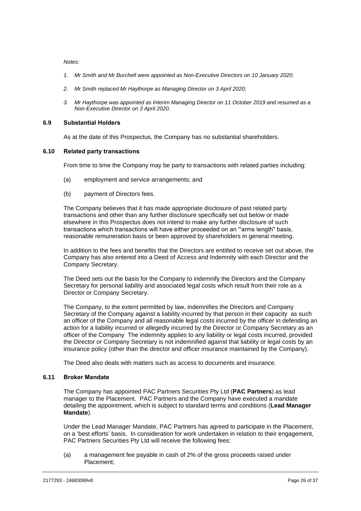*Notes:*

- *1. Mr Smith and Mr Burchell were appointed as Non-Executive Directors on 10 January 2020;*
- *2. Mr Smith replaced Mr Haythorpe as Managing Director on 3 April 2020;*
- *3. Mr Haythorpe was appointed as Interim Managing Director on 11 October 2019 and resumed as a Non-Executive Director on 3 April 2020.*

#### **6.9 Substantial Holders**

As at the date of this Prospectus, the Company has no substantial shareholders.

#### **6.10 Related party transactions**

From time to time the Company may be party to transactions with related parties including:

- (a) employment and service arrangements; and
- (b) payment of Directors fees.

The Company believes that it has made appropriate disclosure of past related party transactions and other than any further disclosure specifically set out below or made elsewhere in this Prospectus does not intend to make any further disclosure of such transactions which transactions will have either proceeded on an "'arms length" basis, reasonable remuneration basis or been approved by shareholders in general meeting.

In addition to the fees and benefits that the Directors are entitled to receive set out above, the Company has also entered into a Deed of Access and Indemnity with each Director and the Company Secretary.

The Deed sets out the basis for the Company to indemnify the Directors and the Company Secretary for personal liability and associated legal costs which result from their role as a Director or Company Secretary.

The Company, to the extent permitted by law, indemnifies the Directors and Company Secretary of the Company against a liability incurred by that person in their capacity as such an officer of the Company and all reasonable legal costs incurred by the officer in defending an action for a liability incurred or allegedly incurred by the Director or Company Secretary as an officer of the Company The indemnity applies to any liability or legal costs incurred, provided the Director or Company Secretary is not indemnified against that liability or legal costs by an insurance policy (other than the director and officer insurance maintained by the Company).

The Deed also deals with matters such as access to documents and insurance.

## <span id="page-29-0"></span>**6.11 Broker Mandate**

The Company has appointed PAC Partners Securities Pty Ltd (**PAC Partners**) as lead manager to the Placement. PAC Partners and the Company have executed a mandate detailing the appointment, which is subject to standard terms and conditions (**Lead Manager Mandate**).

Under the Lead Manager Mandate, PAC Partners has agreed to participate in the Placement, on a 'best efforts' basis. In consideration for work undertaken in relation to their engagement, PAC Partners Securities Pty Ltd will receive the following fees:

(a) a management fee payable in cash of 2% of the gross proceeds raised under Placement;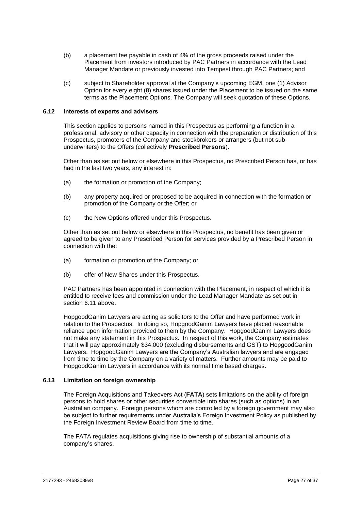- (b) a placement fee payable in cash of 4% of the gross proceeds raised under the Placement from investors introduced by PAC Partners in accordance with the Lead Manager Mandate or previously invested into Tempest through PAC Partners; and
- (c) subject to Shareholder approval at the Company's upcoming EGM, one (1) Advisor Option for every eight (8) shares issued under the Placement to be issued on the same terms as the Placement Options. The Company will seek quotation of these Options.

## **6.12 Interests of experts and advisers**

This section applies to persons named in this Prospectus as performing a function in a professional, advisory or other capacity in connection with the preparation or distribution of this Prospectus, promoters of the Company and stockbrokers or arrangers (but not subunderwriters) to the Offers (collectively **Prescribed Persons**).

Other than as set out below or elsewhere in this Prospectus, no Prescribed Person has, or has had in the last two years, any interest in:

- (a) the formation or promotion of the Company;
- (b) any property acquired or proposed to be acquired in connection with the formation or promotion of the Company or the Offer; or
- (c) the New Options offered under this Prospectus.

Other than as set out below or elsewhere in this Prospectus, no benefit has been given or agreed to be given to any Prescribed Person for services provided by a Prescribed Person in connection with the:

- (a) formation or promotion of the Company; or
- (b) offer of New Shares under this Prospectus.

PAC Partners has been appointed in connection with the Placement, in respect of which it is entitled to receive fees and commission under the Lead Manager Mandate as set out in section [6.11](#page-29-0) above.

HopgoodGanim Lawyers are acting as solicitors to the Offer and have performed work in relation to the Prospectus. In doing so, HopgoodGanim Lawyers have placed reasonable reliance upon information provided to them by the Company. HopgoodGanim Lawyers does not make any statement in this Prospectus. In respect of this work, the Company estimates that it will pay approximately \$34,000 (excluding disbursements and GST) to HopgoodGanim Lawyers. HopgoodGanim Lawyers are the Company's Australian lawyers and are engaged from time to time by the Company on a variety of matters. Further amounts may be paid to HopgoodGanim Lawyers in accordance with its normal time based charges.

## **6.13 Limitation on foreign ownership**

The Foreign Acquisitions and Takeovers Act (**FATA**) sets limitations on the ability of foreign persons to hold shares or other securities convertible into shares (such as options) in an Australian company. Foreign persons whom are controlled by a foreign government may also be subject to further requirements under Australia's Foreign Investment Policy as published by the Foreign Investment Review Board from time to time.

The FATA regulates acquisitions giving rise to ownership of substantial amounts of a company's shares.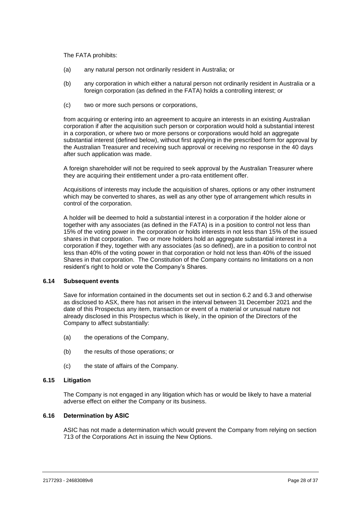The FATA prohibits:

- (a) any natural person not ordinarily resident in Australia; or
- (b) any corporation in which either a natural person not ordinarily resident in Australia or a foreign corporation (as defined in the FATA) holds a controlling interest; or
- (c) two or more such persons or corporations,

from acquiring or entering into an agreement to acquire an interests in an existing Australian corporation if after the acquisition such person or corporation would hold a substantial interest in a corporation, or where two or more persons or corporations would hold an aggregate substantial interest (defined below), without first applying in the prescribed form for approval by the Australian Treasurer and receiving such approval or receiving no response in the 40 days after such application was made.

A foreign shareholder will not be required to seek approval by the Australian Treasurer where they are acquiring their entitlement under a pro-rata entitlement offer.

Acquisitions of interests may include the acquisition of shares, options or any other instrument which may be converted to shares, as well as any other type of arrangement which results in control of the corporation.

A holder will be deemed to hold a substantial interest in a corporation if the holder alone or together with any associates (as defined in the FATA) is in a position to control not less than 15% of the voting power in the corporation or holds interests in not less than 15% of the issued shares in that corporation. Two or more holders hold an aggregate substantial interest in a corporation if they, together with any associates (as so defined), are in a position to control not less than 40% of the voting power in that corporation or hold not less than 40% of the issued Shares in that corporation. The Constitution of the Company contains no limitations on a non resident's right to hold or vote the Company's Shares.

## **6.14 Subsequent events**

Save for information contained in the documents set out in section [6.2](#page-24-1) and [6.3](#page-24-2) and otherwise as disclosed to ASX, there has not arisen in the interval between 31 December 2021 and the date of this Prospectus any item, transaction or event of a material or unusual nature not already disclosed in this Prospectus which is likely, in the opinion of the Directors of the Company to affect substantially:

- (a) the operations of the Company,
- (b) the results of those operations; or
- (c) the state of affairs of the Company.

#### **6.15 Litigation**

The Company is not engaged in any litigation which has or would be likely to have a material adverse effect on either the Company or its business.

#### **6.16 Determination by ASIC**

ASIC has not made a determination which would prevent the Company from relying on section 713 of the Corporations Act in issuing the New Options.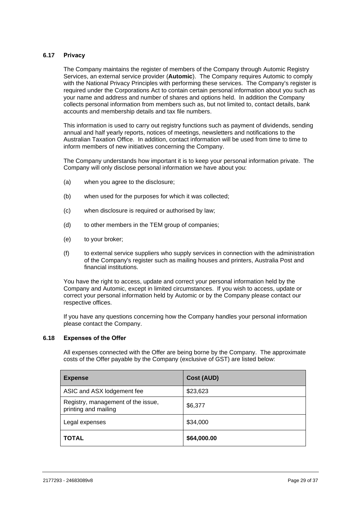## **6.17 Privacy**

The Company maintains the register of members of the Company through Automic Registry Services, an external service provider (**Automic**). The Company requires Automic to comply with the National Privacy Principles with performing these services. The Company's register is required under the Corporations Act to contain certain personal information about you such as your name and address and number of shares and options held. In addition the Company collects personal information from members such as, but not limited to, contact details, bank accounts and membership details and tax file numbers.

This information is used to carry out registry functions such as payment of dividends, sending annual and half yearly reports, notices of meetings, newsletters and notifications to the Australian Taxation Office. In addition, contact information will be used from time to time to inform members of new initiatives concerning the Company.

The Company understands how important it is to keep your personal information private. The Company will only disclose personal information we have about you:

- (a) when you agree to the disclosure;
- (b) when used for the purposes for which it was collected;
- (c) when disclosure is required or authorised by law;
- (d) to other members in the TEM group of companies;
- (e) to your broker;
- (f) to external service suppliers who supply services in connection with the administration of the Company's register such as mailing houses and printers, Australia Post and financial institutions.

You have the right to access, update and correct your personal information held by the Company and Automic, except in limited circumstances. If you wish to access, update or correct your personal information held by Automic or by the Company please contact our respective offices.

If you have any questions concerning how the Company handles your personal information please contact the Company.

#### **6.18 Expenses of the Offer**

All expenses connected with the Offer are being borne by the Company. The approximate costs of the Offer payable by the Company (exclusive of GST) are listed below:

| <b>Expense</b>                                             | <b>Cost (AUD)</b> |
|------------------------------------------------------------|-------------------|
| ASIC and ASX lodgement fee                                 | \$23,623          |
| Registry, management of the issue,<br>printing and mailing | \$6,377           |
| Legal expenses                                             | \$34,000          |
| <b>TOTAL</b>                                               | \$64,000.00       |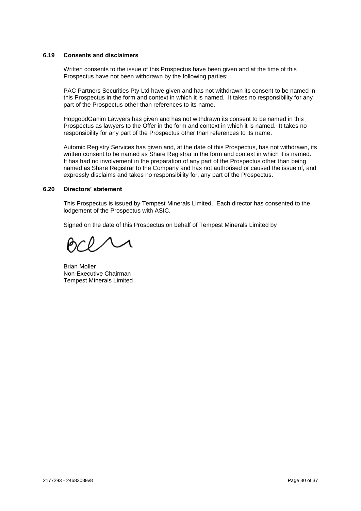## **6.19 Consents and disclaimers**

Written consents to the issue of this Prospectus have been given and at the time of this Prospectus have not been withdrawn by the following parties:

PAC Partners Securities Pty Ltd have given and has not withdrawn its consent to be named in this Prospectus in the form and context in which it is named. It takes no responsibility for any part of the Prospectus other than references to its name.

HopgoodGanim Lawyers has given and has not withdrawn its consent to be named in this Prospectus as lawyers to the Offer in the form and context in which it is named. It takes no responsibility for any part of the Prospectus other than references to its name.

Automic Registry Services has given and, at the date of this Prospectus, has not withdrawn, its written consent to be named as Share Registrar in the form and context in which it is named. It has had no involvement in the preparation of any part of the Prospectus other than being named as Share Registrar to the Company and has not authorised or caused the issue of, and expressly disclaims and takes no responsibility for, any part of the Prospectus.

#### **6.20 Directors' statement**

This Prospectus is issued by Tempest Minerals Limited. Each director has consented to the lodgement of the Prospectus with ASIC.

Signed on the date of this Prospectus on behalf of Tempest Minerals Limited by

Brian Moller Non-Executive Chairman Tempest Minerals Limited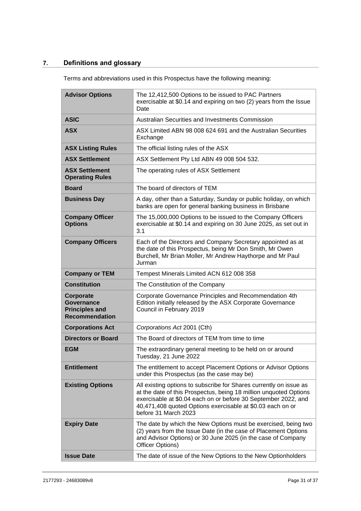# <span id="page-34-0"></span>**7. Definitions and glossary**

Terms and abbreviations used in this Prospectus have the following meaning:

| <b>Advisor Options</b>                                                           | The 12,412,500 Options to be issued to PAC Partners<br>exercisable at \$0.14 and expiring on two (2) years from the Issue<br>Date                                                                                                                                                               |
|----------------------------------------------------------------------------------|-------------------------------------------------------------------------------------------------------------------------------------------------------------------------------------------------------------------------------------------------------------------------------------------------|
| <b>ASIC</b>                                                                      | Australian Securities and Investments Commission                                                                                                                                                                                                                                                |
| <b>ASX</b>                                                                       | ASX Limited ABN 98 008 624 691 and the Australian Securities<br>Exchange                                                                                                                                                                                                                        |
| <b>ASX Listing Rules</b>                                                         | The official listing rules of the ASX                                                                                                                                                                                                                                                           |
| <b>ASX Settlement</b>                                                            | ASX Settlement Pty Ltd ABN 49 008 504 532.                                                                                                                                                                                                                                                      |
| <b>ASX Settlement</b><br><b>Operating Rules</b>                                  | The operating rules of ASX Settlement                                                                                                                                                                                                                                                           |
| <b>Board</b>                                                                     | The board of directors of TEM                                                                                                                                                                                                                                                                   |
| <b>Business Day</b>                                                              | A day, other than a Saturday, Sunday or public holiday, on which<br>banks are open for general banking business in Brisbane                                                                                                                                                                     |
| <b>Company Officer</b><br><b>Options</b>                                         | The 15,000,000 Options to be issued to the Company Officers<br>exercisable at \$0.14 and expiring on 30 June 2025, as set out in<br>3.1                                                                                                                                                         |
| <b>Company Officers</b>                                                          | Each of the Directors and Company Secretary appointed as at<br>the date of this Prospectus, being Mr Don Smith, Mr Owen<br>Burchell, Mr Brian Moller, Mr Andrew Haythorpe and Mr Paul<br>Jurman                                                                                                 |
| <b>Company or TEM</b>                                                            | Tempest Minerals Limited ACN 612 008 358                                                                                                                                                                                                                                                        |
| <b>Constitution</b>                                                              | The Constitution of the Company                                                                                                                                                                                                                                                                 |
| Corporate<br><b>Governance</b><br><b>Principles and</b><br><b>Recommendation</b> | Corporate Governance Principles and Recommendation 4th<br>Edition initially released by the ASX Corporate Governance<br>Council in February 2019                                                                                                                                                |
| <b>Corporations Act</b>                                                          | Corporations Act 2001 (Cth)                                                                                                                                                                                                                                                                     |
| <b>Directors or Board</b>                                                        | The Board of directors of TEM from time to time                                                                                                                                                                                                                                                 |
| <b>EGM</b>                                                                       | The extraordinary general meeting to be held on or around<br>Tuesday, 21 June 2022                                                                                                                                                                                                              |
| <b>Entitlement</b>                                                               | The entitlement to accept Placement Options or Advisor Options<br>under this Prospectus (as the case may be)                                                                                                                                                                                    |
| <b>Existing Options</b>                                                          | All existing options to subscribe for Shares currently on issue as<br>at the date of this Prospectus, being 18 million unquoted Options<br>exercisable at \$0.04 each on or before 30 September 2022, and<br>40,471,408 quoted Options exercisable at \$0.03 each on or<br>before 31 March 2023 |
| <b>Expiry Date</b>                                                               | The date by which the New Options must be exercised, being two<br>(2) years from the Issue Date (in the case of Placement Options<br>and Advisor Options) or 30 June 2025 (in the case of Company<br>Officer Options)                                                                           |
| <b>Issue Date</b>                                                                | The date of issue of the New Options to the New Optionholders                                                                                                                                                                                                                                   |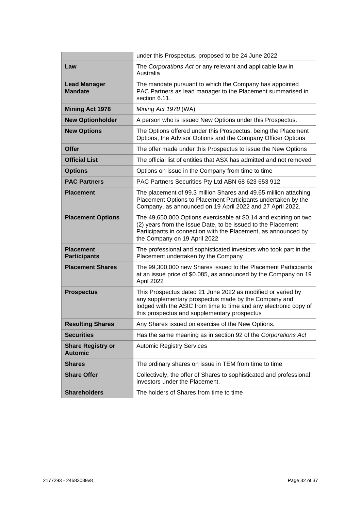|                                            | under this Prospectus, proposed to be 24 June 2022                                                                                                                                                                                       |
|--------------------------------------------|------------------------------------------------------------------------------------------------------------------------------------------------------------------------------------------------------------------------------------------|
| Law                                        | The Corporations Act or any relevant and applicable law in<br>Australia                                                                                                                                                                  |
| <b>Lead Manager</b><br><b>Mandate</b>      | The mandate pursuant to which the Company has appointed<br>PAC Partners as lead manager to the Placement summarised in<br>section 6.11.                                                                                                  |
| <b>Mining Act 1978</b>                     | Mining Act 1978 (WA)                                                                                                                                                                                                                     |
| <b>New Optionholder</b>                    | A person who is issued New Options under this Prospectus.                                                                                                                                                                                |
| <b>New Options</b>                         | The Options offered under this Prospectus, being the Placement<br>Options, the Advisor Options and the Company Officer Options                                                                                                           |
| <b>Offer</b>                               | The offer made under this Prospectus to issue the New Options                                                                                                                                                                            |
| <b>Official List</b>                       | The official list of entities that ASX has admitted and not removed                                                                                                                                                                      |
| <b>Options</b>                             | Options on issue in the Company from time to time                                                                                                                                                                                        |
| <b>PAC Partners</b>                        | PAC Partners Securities Pty Ltd ABN 68 623 653 912                                                                                                                                                                                       |
| <b>Placement</b>                           | The placement of 99.3 million Shares and 49.65 million attaching<br>Placement Options to Placement Participants undertaken by the<br>Company, as announced on 19 April 2022 and 27 April 2022.                                           |
| <b>Placement Options</b>                   | The 49,650,000 Options exercisable at \$0.14 and expiring on two<br>(2) years from the Issue Date, to be issued to the Placement<br>Participants in connection with the Placement, as announced by<br>the Company on 19 April 2022       |
| <b>Placement</b><br><b>Participants</b>    | The professional and sophisticated investors who took part in the<br>Placement undertaken by the Company                                                                                                                                 |
| <b>Placement Shares</b>                    | The 99,300,000 new Shares issued to the Placement Participants<br>at an issue price of \$0.085, as announced by the Company on 19<br>April 2022                                                                                          |
| <b>Prospectus</b>                          | This Prospectus dated 21 June 2022 as modified or varied by<br>any supplementary prospectus made by the Company and<br>lodged with the ASIC from time to time and any electronic copy of<br>this prospectus and supplementary prospectus |
| <b>Resulting Shares</b>                    | Any Shares issued on exercise of the New Options.                                                                                                                                                                                        |
| <b>Securities</b>                          | Has the same meaning as in section 92 of the Corporations Act                                                                                                                                                                            |
| <b>Share Registry or</b><br><b>Automic</b> | <b>Automic Registry Services</b>                                                                                                                                                                                                         |
| <b>Shares</b>                              | The ordinary shares on issue in TEM from time to time                                                                                                                                                                                    |
| <b>Share Offer</b>                         | Collectively, the offer of Shares to sophisticated and professional<br>investors under the Placement.                                                                                                                                    |
| <b>Shareholders</b>                        | The holders of Shares from time to time                                                                                                                                                                                                  |